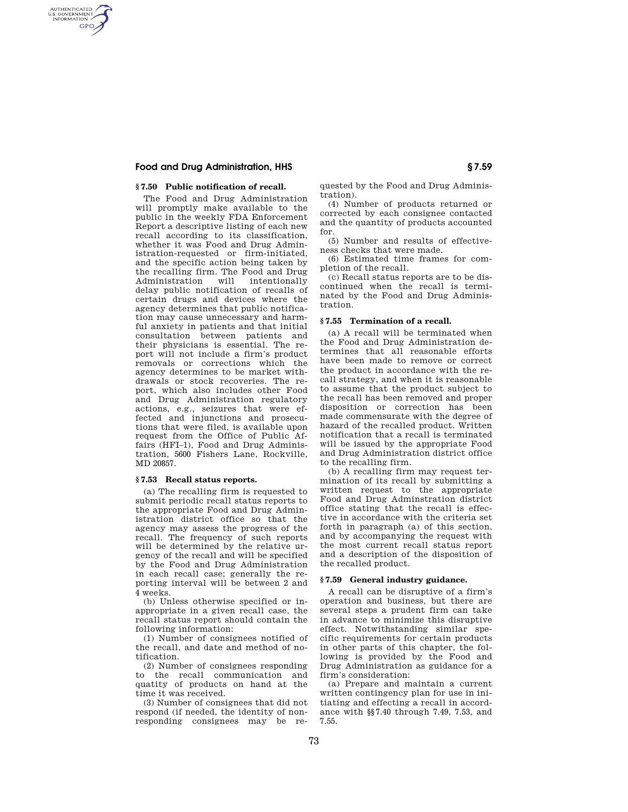## **Food and Drug Administration, HHS § 7.59**

AUTHENTICATED<br>U.S. GOVERNMENT<br>INFORMATION **GPO** 

### **§ 7.50 Public notification of recall.**

The Food and Drug Administration will promptly make available to the public in the weekly FDA Enforcement Report a descriptive listing of each new recall according to its classification, whether it was Food and Drug Administration-requested or firm-initiated, and the specific action being taken by the recalling firm. The Food and Drug Administration delay public notification of recalls of certain drugs and devices where the agency determines that public notification may cause unnecessary and harmful anxiety in patients and that initial consultation between patients and their physicians is essential. The report will not include a firm's product removals or corrections which the agency determines to be market withdrawals or stock recoveries. The report, which also includes other Food and Drug Administration regulatory actions, e.g., seizures that were effected and injunctions and prosecutions that were filed, is available upon request from the Office of Public Affairs (HFI–1), Food and Drug Administration, 5600 Fishers Lane, Rockville, MD 20857.

### **§ 7.53 Recall status reports.**

(a) The recalling firm is requested to submit periodic recall status reports to the appropriate Food and Drug Administration district office so that the agency may assess the progress of the recall. The frequency of such reports will be determined by the relative urgency of the recall and will be specified by the Food and Drug Administration in each recall case; generally the reporting interval will be between 2 and 4 weeks.

(b) Unless otherwise specified or inappropriate in a given recall case, the recall status report should contain the following information:

(1) Number of consignees notified of the recall, and date and method of notification.

(2) Number of consignees responding to the recall communication and quatity of products on hand at the time it was received.

(3) Number of consignees that did not respond (if needed, the identity of nonresponding consignees may be requested by the Food and Drug Administration).

(4) Number of products returned or corrected by each consignee contacted and the quantity of products accounted for.

(5) Number and results of effectiveness checks that were made.

(6) Estimated time frames for completion of the recall.

(c) Recall status reports are to be discontinued when the recall is terminated by the Food and Drug Administration.

### **§ 7.55 Termination of a recall.**

(a) A recall will be terminated when the Food and Drug Administration determines that all reasonable efforts have been made to remove or correct the product in accordance with the recall strategy, and when it is reasonable to assume that the product subject to the recall has been removed and proper disposition or correction has been made commensurate with the degree of hazard of the recalled product. Written notification that a recall is terminated will be issued by the appropriate Food and Drug Administration district office to the recalling firm.

(b) A recalling firm may request termination of its recall by submitting a written request to the appropriate Food and Drug Adminstration district office stating that the recall is effective in accordance with the criteria set forth in paragraph (a) of this section, and by accompanying the request with the most current recall status report and a description of the disposition of the recalled product.

## **§ 7.59 General industry guidance.**

A recall can be disruptive of a firm's operation and business, but there are several steps a prudent firm can take in advance to minimize this disruptive effect. Notwithstanding similar specific requirements for certain products in other parts of this chapter, the following is provided by the Food and Drug Administration as guidance for a firm's consideration:

(a) Prepare and maintain a current written contingency plan for use in initiating and effecting a recall in accordance with §§7.40 through 7.49, 7.53, and 7.55.